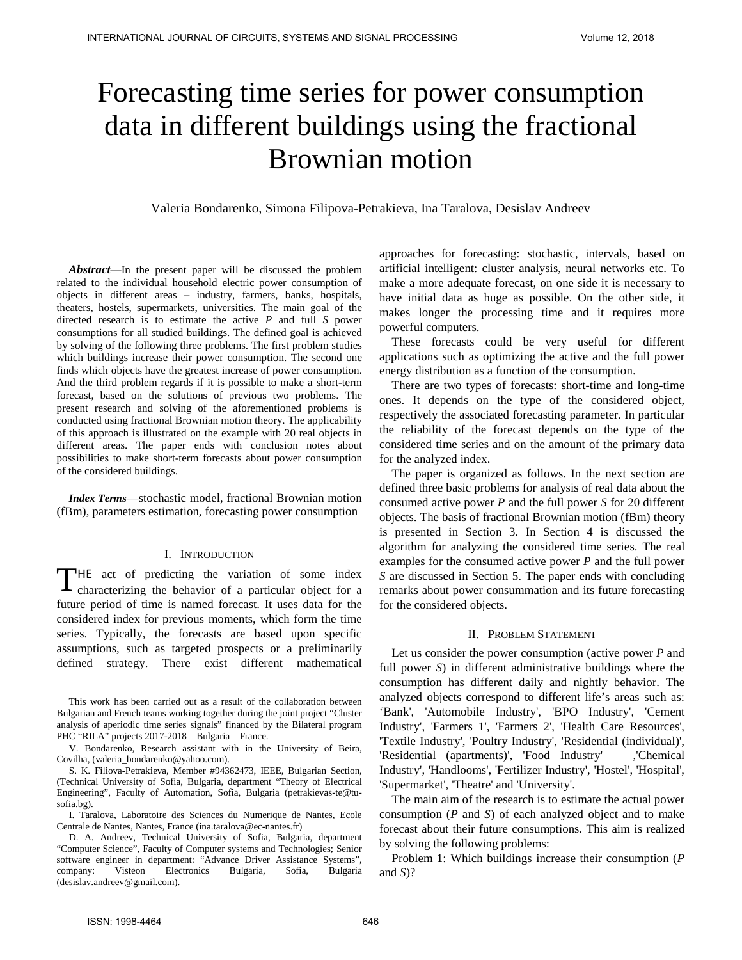# Forecasting time series for power consumption data in different buildings using the fractional Brownian motion

Valeria Bondarenko, Simona Filipova-Petrakieva, Ina Taralova, Desislav Andreev

*Abstract*—In the present paper will be discussed the problem related to the individual household electric power consumption of objects in different areas – industry, farmers, banks, hospitals, theaters, hostels, supermarkets, universities. The main goal of the directed research is to estimate the active *P* and full *S* power consumptions for all studied buildings. The defined goal is achieved by solving of the following three problems. The first problem studies which buildings increase their power consumption. The second one finds which objects have the greatest increase of power consumption. And the third problem regards if it is possible to make a short-term forecast, based on the solutions of previous two problems. The present research and solving of the aforementioned problems is conducted using fractional Brownian motion theory. The applicability of this approach is illustrated on the example with 20 real objects in different areas. The paper ends with conclusion notes about possibilities to make short-term forecasts about power consumption of the considered buildings. **INTERNATIONAL SORRER OF DISTURBATION SPECIES OF DOWNET CONSUMPTION<br>
INTERNATIONAL THE SECOND INTERNATIONAL STATE IS CONSUMPTION AND THE SECOND INTERNATIONAL THE SECOND CONSUMPTION CONSUMPTION CONSUMPTION CONSUMPTION CONS** 

*Index Terms*—stochastic model, fractional Brownian motion (fBm), parameters estimation, forecasting power consumption

## I. INTRODUCTION

THE act of predicting the variation of some index characterizing the behavior of a particular object for a characterizing the behavior of a particular object for a future period of time is named forecast. It uses data for the considered index for previous moments, which form the time series. Typically, the forecasts are based upon specific assumptions, such as targeted prospects or a preliminarily defined strategy. There exist different mathematical

This work has been carried out as a result of the collaboration between Bulgarian and French teams working together during the joint project "Cluster analysis of aperiodic time series signals" financed by the Bilateral program PHC "RILA" projects 2017-2018 – Bulgaria – France.

V. Bondarenko, Research assistant with in the University of Beira, Covilha, (valeria\_bondarenko@yahoo.com).

S. K. Filiova-Petrakieva, Member #94362473, IEEE, Bulgarian Section, (Technical University of Sofia, Bulgaria, department "Theory of Electrical Engineering", Faculty of Automation, Sofia, Bulgaria (petrakievas-te@tu[sofia.bg\)](mailto:petrakievas-te@tu-sofia.bg).

I. Taralova, Laboratoire des Sciences du Numerique de Nantes, Ecole Centrale de Nantes, Nantes, France (ina.taralova@ec-nantes.fr)

D. A. Andreev, Technical University of Sofia, Bulgaria, department "Computer Science", Faculty of Computer systems and Technologies; Senior software engineer in department: "Advance Driver Assistance Systems", company: Visteon Electronics Bulgaria, Sofia, Bulgaria (desislav.andreev@gmail.com).

approaches for forecasting: stochastic, intervals, based on artificial intelligent: cluster analysis, neural networks etc. To make a more adequate forecast, on one side it is necessary to have initial data as huge as possible. On the other side, it makes longer the processing time and it requires more powerful computers.

These forecasts could be very useful for different applications such as optimizing the active and the full power energy distribution as a function of the consumption.

There are two types of forecasts: short-time and long-time ones. It depends on the type of the considered object, respectively the associated forecasting parameter. In particular the reliability of the forecast depends on the type of the considered time series and on the amount of the primary data for the analyzed index.

The paper is organized as follows. In the next section are defined three basic problems for analysis of real data about the consumed active power *P* and the full power *S* for 20 different objects. The basis of fractional Brownian motion (fBm) theory is presented in Section 3. In Section 4 is discussed the algorithm for analyzing the considered time series. The real examples for the consumed active power *P* and the full power *S* are discussed in Section 5. The paper ends with concluding remarks about power consummation and its future forecasting for the considered objects.

# II. PROBLEM STATEMENT

Let us consider the power consumption (active power *P* and full power *S*) in different administrative buildings where the consumption has different daily and nightly behavior. The analyzed objects correspond to different life's areas such as: 'Bank', 'Automobile Industry', 'BPO Industry', 'Cement Industry', 'Farmers 1', 'Farmers 2', 'Health Care Resources', 'Textile Industry', 'Poultry Industry', 'Residential (individual)', 'Residential (apartments)', 'Food Industry' ,'Chemical Industry', 'Handlooms', 'Fertilizer Industry', 'Hostel', 'Hospital', 'Supermarket', 'Theatre' and 'University'.

The main aim of the research is to estimate the actual power consumption (*P* and *S*) of each analyzed object and to make forecast about their future consumptions. This aim is realized by solving the following problems:

Problem 1: Which buildings increase their consumption (*P* and *S*)?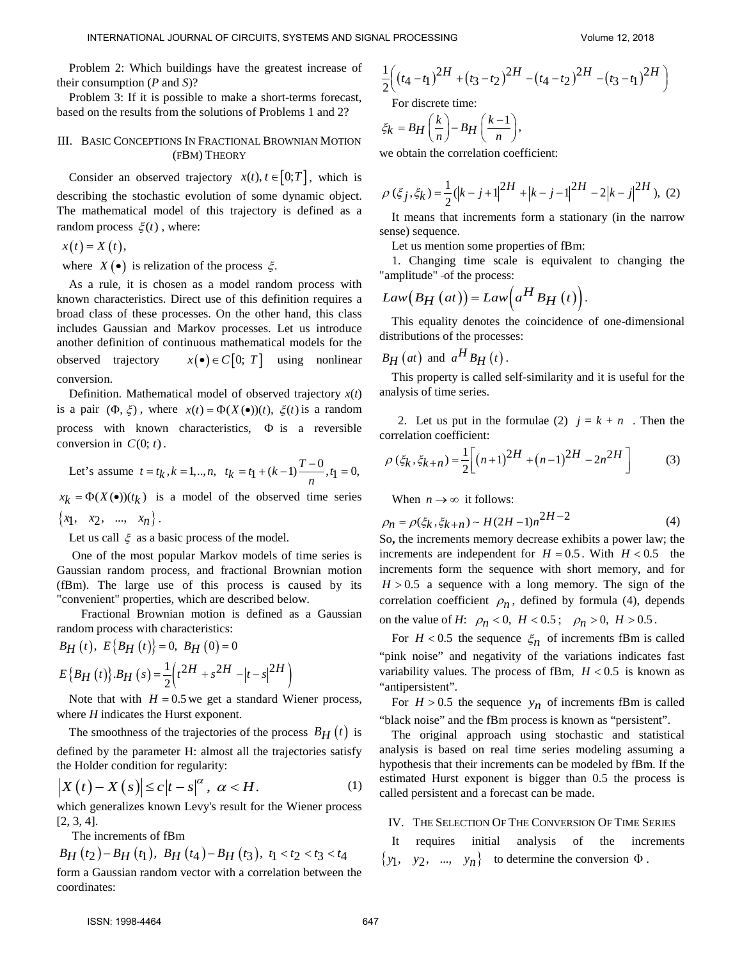Problem 2: Which buildings have the greatest increase of their consumption (*P* and *S*)?

Problem 3: If it is possible to make a short-terms forecast, based on the results from the solutions of Problems 1 and 2?

# III. BASIC CONCEPTIONS IN FRACTIONAL BROWNIAN MOTION (FBM) THEORY

Consider an observed trajectory  $x(t)$ ,  $t \in [0;T]$ , which is describing the stochastic evolution of some dynamic object. The mathematical model of this trajectory is defined as a random process  $\xi(t)$ , where:

$$
x(t)=X(t),
$$

where  $X(\bullet)$  is relization of the process  $\xi$ .

As a rule, it is chosen as a model random process with known characteristics. Direct use of this definition requires a broad class of these processes. On the other hand, this class includes Gaussian and Markov processes. Let us introduce another definition of continuous mathematical models for the observed trajectory  $x(\bullet) \in C[0; T]$  using nonlinear conversion. INTERNATIONAL JOURNAL DEVICE OF THE SECTION AND SIGNATURE (EQ. 2) The second of the section of the section of the section of the section of the section of the section of the section of the section of the section of the se

Definition. Mathematical model of observed trajectory  $x(t)$ is a pair  $(\Phi, \xi)$ , where  $x(t) = \Phi(X(\bullet))(t)$ ,  $\xi(t)$  is a random process with known characteristics, Φ is a reversible conversion in  $C(0; t)$ .

Let's assume 
$$
t = t_k
$$
,  $k = 1, ..., n$ ,  $t_k = t_1 + (k-1)\frac{T-0}{n}$ ,  $t_1 = 0$ ,

 $x_k = \Phi(X(\bullet))(t_k)$  is a model of the observed time series  ${x_1, x_2, ..., x_n}.$ 

Let us call  $\xi$  as a basic process of the model.

One of the most popular Markov models of time series is Gaussian random process, and fractional Brownian motion (fBm). The large use of this process is caused by its "convenient" properties, which are described below.

Fractional Brownian motion is defined as a Gaussian random process with characteristics:

$$
B_H(t), E{B_H(t)} = 0, B_H(0) = 0
$$

$$
E\{B_H(t)\} . B_H(s) = \frac{1}{2} \left(t^{2H} + s^{2H} - |t - s|^{2H}\right)
$$

Note that with  $H = 0.5$  we get a standard Wiener process, where *H* indicates the Hurst exponent.

The smoothness of the trajectories of the process  $B_H(t)$  is defined by the parameter H: almost all the trajectories satisfy the Holder condition for regularity:

$$
\left|X(t) - X(s)\right| \le c \left|t - s\right|^{\alpha}, \ \alpha < H. \tag{1}
$$

which generalizes known Levy's result for the Wiener process [2, 3, 4].

The increments of fBm

$$
B_H(t_2) - B_H(t_1)
$$
,  $B_H(t_4) - B_H(t_3)$ ,  $t_1 < t_2 < t_3 < t_4$  form a Gaussian random vector with a correlation between the coordinates:

$$
\frac{1}{2}\left((t_4-t_1)^{2H}+(t_3-t_2)^{2H}-(t_4-t_2)^{2H}-(t_3-t_1)^{2H}\right)
$$
  
For discrete time:

For discrete time:

$$
\xi_k = B_H\left(\frac{k}{n}\right) - B_H\left(\frac{k-1}{n}\right),\,
$$

we obtain the correlation coefficient:

$$
\rho(\xi_j, \xi_k) = \frac{1}{2}(|k-j+1|^{2H} + |k-j-1|^{2H} - 2|k-j|^{2H}),
$$
 (2)

It means that increments form a stationary (in the narrow sense) sequence.

Let us mention some properties of fBm:

1. Changing time scale is equivalent to changing the "amplitude" - of the process:

$$
Law(B_H (at)) = Law\left(a^H B_H (t)\right).
$$

This equality denotes the coincidence of one-dimensional distributions of the processes:

$$
B_H\left(at\right) \text{ and } a^H B_H\left(t\right).
$$

This property is called self-similarity and it is useful for the analysis of time series.

2. Let us put in the formulae (2)  $j = k + n$ . Then the correlation coefficient:

$$
\rho\left(\xi_k, \xi_{k+n}\right) = \frac{1}{2} \bigg[ \left(n+1\right)^{2H} + \left(n-1\right)^{2H} - 2n^{2H} \bigg] \tag{3}
$$

When  $n \to \infty$  it follows:

$$
\rho_n = \rho(\xi_k, \xi_{k+n}) \sim H(2H - 1)n^{2H - 2}
$$
\n(4)

So**,** the increments memory decrease exhibits a power law; the increments are independent for  $H = 0.5$ . With  $H < 0.5$  the increments form the sequence with short memory, and for  $H > 0.5$  a sequence with a long memory. The sign of the correlation coefficient  $\rho_n$ , defined by formula (4), depends on the value of *H*:  $\rho_n < 0$ ,  $H < 0.5$ ;  $\rho_n > 0$ ,  $H > 0.5$ .

For  $H < 0.5$  the sequence  $\zeta_n$  of increments fBm is called "pink noise" and negativity of the variations indicates fast variability values. The process of fBm,  $H < 0.5$  is known as "antipersistent".

For  $H > 0.5$  the sequence  $y_n$  of increments fBm is called "black noise" and the fBm process is known as "persistent".

The original approach using stochastic and statistical analysis is based on real time series modeling assuming a hypothesis that their increments can be modeled by fBm. If the estimated Hurst exponent is bigger than 0.5 the process is called persistent and a forecast can be made.

## IV. THE SELECTION OF THE CONVERSION OF TIME SERIES

It requires initial analysis of the increments  $\{y_1, y_2, ..., y_n\}$  to determine the conversion  $\Phi$ .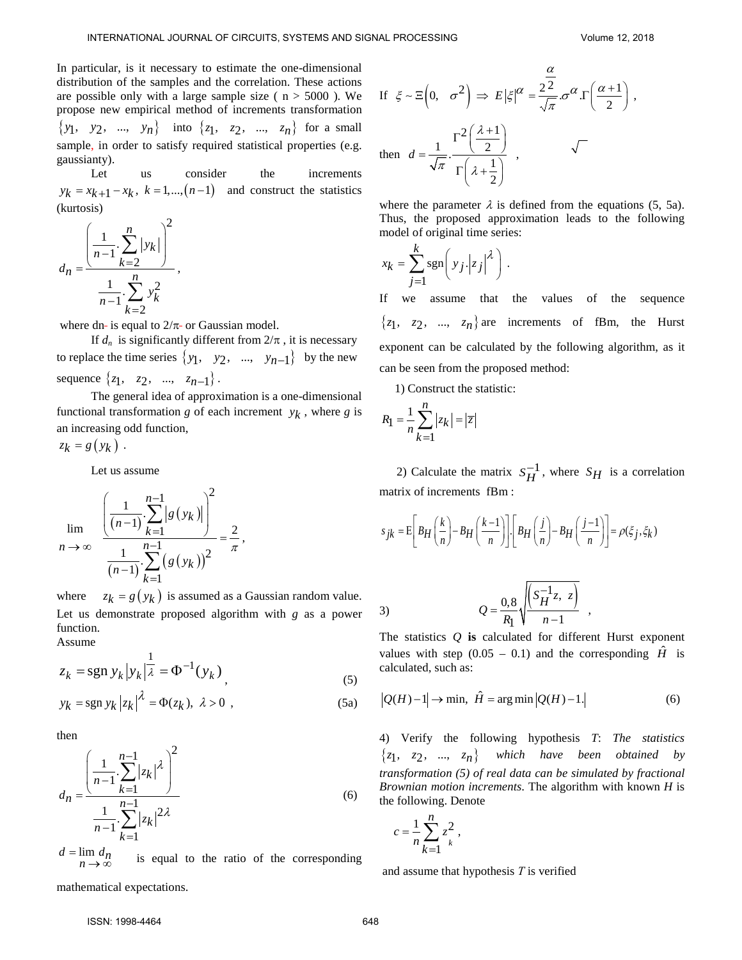In particular, is it necessary to estimate the one-dimensional distribution of the samples and the correlation. These actions are possible only with a large sample size ( $n > 5000$ ). We propose new empirical method of increments transformation  $\{y_1, y_2, ..., y_n\}$  into  $\{z_1, z_2, ..., z_n\}$  for a small sample, in order to satisfy required statistical properties (e.g. gaussianty).

Let us consider the increments  $y_k = x_{k+1} - x_k$ ,  $k = 1, \ldots, (n-1)$  and construct the statistics (kurtosis)

$$
d_n = \frac{\left(\frac{1}{n-1} \cdot \sum_{k=2}^{n} |y_k|\right)^2}{\frac{1}{n-1} \cdot \sum_{k=2}^{n} y_k^2},
$$

where dn- is equal to  $2/\pi$ - or Gaussian model.

If  $d_n$  is significantly different from  $2/\pi$ , it is necessary to replace the time series  $\{y_1, y_2, ..., y_{n-1}\}$  by the new sequence  $\{z_1, z_2, ..., z_{n-1}\}$ .

The general idea of approximation is a one-dimensional functional transformation  $g$  of each increment  $y_k$ , where  $g$  is an increasing odd function,

$$
z_k = g(y_k) .
$$

Let us assume

$$
\lim_{n \to \infty} \frac{\left(\frac{1}{(n-1)} \cdot \sum_{k=1}^{n-1} |g(y_k)|\right)^2}{\frac{1}{(n-1)} \cdot \sum_{k=1}^{n-1} (g(y_k))^2} = \frac{2}{\pi},
$$

where  $z_k = g(y_k)$  is assumed as a Gaussian random value. Let us demonstrate proposed algorithm with *g* as a power function.

Assume

$$
z_k = \text{sgn } y_k |y_k|^{\frac{1}{\lambda}} = \Phi^{-1}(y_k), \qquad (5)
$$

$$
y_k = \operatorname{sgn} y_k |z_k|^{\lambda} = \Phi(z_k), \ \lambda > 0 \ , \tag{5a}
$$

then

$$
d_n = \frac{\left(\frac{1}{n-1} \cdot \sum_{k=1}^{n-1} |z_k|^{\lambda}\right)^2}{\frac{1}{n-1} \cdot \sum_{k=1}^{n-1} |z_k|^{2\lambda}}
$$
(6)

 $d = \lim_{n \to \infty} d_n$ is equal to the ratio of the corresponding

If  $\zeta \sim \mathbb{E}\left(0, \sigma^2\right) \Rightarrow E|\zeta|^{\alpha} = \frac{2^2}{\sqrt{\pi}} \sigma^{\alpha} \cdot \Gamma\left(\frac{\alpha+1}{2}\right)$ α  $\zeta \sim \Xi\left(0, \sigma^2\right) \Rightarrow E\left|\xi\right|^{\alpha} = \frac{2^2}{\sqrt{\pi}} \sigma^{\alpha} . \Gamma\left(\frac{\alpha+1}{2}\right)$ , then  $2(\lambda+1)$  $\frac{1}{\sqrt{\pi}} \cdot \frac{2}{\Gamma(1)}$ 2 *d* λ  $\pi$   $\Gamma$ |  $\lambda$  $=\frac{1}{\sqrt{\pi}}\cdot\frac{\Gamma^2\left(\frac{\lambda+1}{2}\right)}{\Gamma\left(\lambda+\frac{1}{2}\right)}$  , NTD and the second of the control of the second interest in  $\mathcal{E} = \int_{0}^{2\pi} \int_{0}^{2\pi} f(x) dx$ <br>
Interest the angle of the control of the control of the second temperature interest into the second of the control of the seco

where the parameter  $\lambda$  is defined from the equations (5, 5a). Thus, the proposed approximation leads to the following model of original time series:

$$
x_k = \sum_{j=1}^k \operatorname{sgn}\left(\left|y_j\right|z_j\right|^{\lambda}\right).
$$

If we assume that the values of the sequence  $\{z_1, z_2, ..., z_n\}$  are increments of fBm, the Hurst exponent can be calculated by the following algorithm, as it can be seen from the proposed method:

1) Construct the statistic:

$$
R_1 = \frac{1}{n} \sum_{k=1}^{n} |z_k| = |\overline{z}|
$$

2) Calculate the matrix  $S_H^{-1}$ , where  $S_H$  is a correlation matrix of increments fBm :

$$
s_{jk} = \mathbb{E}\bigg[B_H\bigg(\frac{k}{n}\bigg) - B_H\bigg(\frac{k-1}{n}\bigg)\bigg]\cdot \bigg[B_H\bigg(\frac{j}{n}\bigg) - B_H\bigg(\frac{j-1}{n}\bigg)\bigg] = \rho(\xi_j, \xi_k)
$$

3) 
$$
Q = \frac{0.8}{R_1} \sqrt{\frac{S_H^{-1}z, z}{n-1}},
$$

The statistics *Q* **is** calculated for different Hurst exponent values with step  $(0.05 - 0.1)$  and the corresponding  $\hat{H}$  is calculated, such as:

$$
|Q(H) - 1| \to \min, \ \hat{H} = \arg\min |Q(H) - 1| \tag{6}
$$

4) Verify the following hypothesis *T*: *The statistics*   $\{z_1, z_2, ..., z_n\}$  which have been obtained by *transformation (5) of real data can be simulated by fractional Brownian motion increments*. The algorithm with known *H* is the following. Denote

$$
c = \frac{1}{n} \sum_{k=1}^{n} z_k^2,
$$

and assume that hypothesis *Т* is verified

mathematical expectations.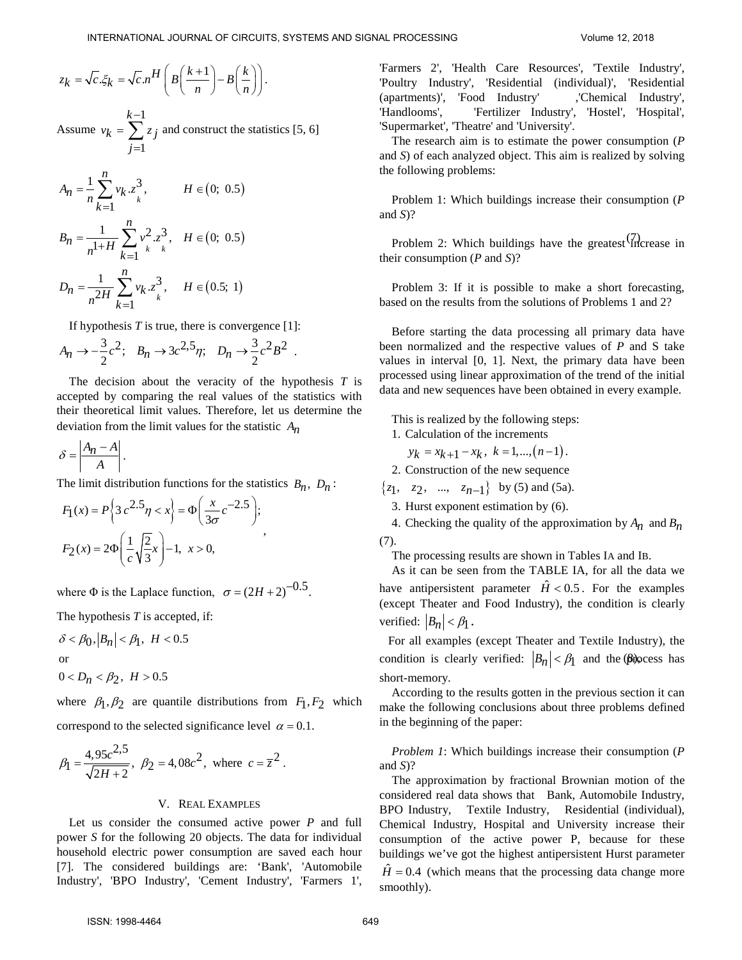$$
z_k = \sqrt{c}.\xi_k = \sqrt{c}.n^H \left( B \left( \frac{k+1}{n} \right) - B \left( \frac{k}{n} \right) \right).
$$

Assume 1 1 *k*  $v_k = \sum z_j$ *j* − = =  $\sum z_j$  and construct the statistics [5, 6]

$$
A_n = \frac{1}{n} \sum_{k=1}^n v_k . z_k^3, \qquad H \in (0; 0.5)
$$
  

$$
B_n = \frac{1}{n^{1+H}} \sum_{k=1}^n v_k^2 . z_k^3, \quad H \in (0; 0.5)
$$
  

$$
D_n = \frac{1}{n^{2H}} \sum_{k=1}^n v_k . z_k^3, \quad H \in (0.5; 1)
$$

If hypothesis  $T$  is true, there is convergence  $[1]$ :

$$
A_n \to -\frac{3}{2}c^2; \quad B_n \to 3c^{2,5}\eta; \quad D_n \to \frac{3}{2}c^2B^2 \ .
$$

The decision about the veracity of the hypothesis *T* is accepted by comparing the real values of the statistics with their theoretical limit values. Therefore, let us determine the deviation from the limit values for the statistic *An*

$$
\delta = \left| \frac{A_n - A}{A} \right|.
$$

The limit distribution functions for the statistics  $B_n$ ,  $D_n$ :

,

$$
F_1(x) = P\left\{3c^{2.5}\eta < x\right\} = \Phi\left(\frac{x}{3\sigma}c^{-2.5}\right);
$$
\n
$$
F_2(x) = 2\Phi\left(\frac{1}{c}\sqrt{\frac{2}{3}}x\right) - 1, \ x > 0,
$$

where  $\Phi$  is the Laplace function,  $\sigma = (2H + 2)^{-0.5}$ .

The hypothesis *T* is accepted, if:

$$
\delta < \beta_0, |B_n| < \beta_1, H < 0.5
$$
\nor

\n
$$
0 < D_n < \beta_2, H > 0.5
$$

where  $\beta_1, \beta_2$  are quantile distributions from  $F_1, F_2$  which correspond to the selected significance level  $\alpha = 0.1$ .

$$
\beta_1 = \frac{4,95c^{2,5}}{\sqrt{2H+2}}, \ \beta_2 = 4,08c^2, \text{ where } c = \overline{z}^2.
$$

### V. REAL EXAMPLES

Let us consider the consumed active power *P* and full power *S* for the following 20 objects. The data for individual household electric power consumption are saved each hour [7]. The considered buildings are: 'Bank', 'Automobile Industry', 'BPO Industry', 'Cement Industry', 'Farmers 1', 'Farmers 2', 'Health Care Resources', 'Textile Industry', 'Poultry Industry', 'Residential (individual)', 'Residential (apartments)', 'Food Industry' ,'Chemical Industry', 'Handlooms', 'Fertilizer Industry', 'Hostel', 'Hospital', 'Supermarket', 'Theatre' and 'University'.

The research aim is to estimate the power consumption (*P* and *S*) of each analyzed object. This aim is realized by solving the following problems:

Problem 1: Which buildings increase their consumption (*P* and *S*)?

Problem 2: Which buildings have the greatest  $\binom{7}{11}$  crease in their consumption (*P* and *S*)?

Problem 3: If it is possible to make a short forecasting, based on the results from the solutions of Problems 1 and 2?

Before starting the data processing all primary data have been normalized and the respective values of *P* and S take values in interval [0, 1]. Next, the primary data have been processed using linear approximation of the trend of the initial data and new sequences have been obtained in every example.

This is realized by the following steps:

- 1. Calculation of the increments
	- $y_k = x_{k+1} x_k, \ k = 1, \ldots, (n-1).$
- 2. Construction of the new sequence

 $\{z_1, z_2, ..., z_{n-1}\}\$  by (5) and (5a).

3. Hurst exponent estimation by (6).

4. Checking the quality of the approximation by  $A_n$  and  $B_n$ (7).

The processing results are shown in Tables IA and IB.

As it can be seen from the TABLE IA, for all the data we have antipersistent parameter  $\hat{H} < 0.5$ . For the examples (except Theater and Food Industry), the condition is clearly verified:  $|B_n| < \beta_1$ .

condition is clearly verified:  $|B_n| < \beta_1$  and the  $\beta$  blocess has For all examples (except Theater and Textile Industry), the short-memory.

According to the results gotten in the previous section it can make the following conclusions about three problems defined in the beginning of the paper:

*Problem 1*: Which buildings increase their consumption (*P* and *S*)?

The approximation by fractional Brownian motion of the considered real data shows that Bank, Automobile Industry, BPO Industry, Textile Industry, Residential (individual), Chemical Industry, Hospital and University increase their consumption of the active power P, because for these buildings we've got the highest antipersistent Hurst parameter  $\hat{H}$  = 0.4 (which means that the processing data change more smoothly). NTERNATONAL AGENERATION CONSULTS (ATTENDATION AND CONSULTS 2018). The main state of the main of the context of the main of the main of the main of the main of the main of the main of the main of the main of the main of th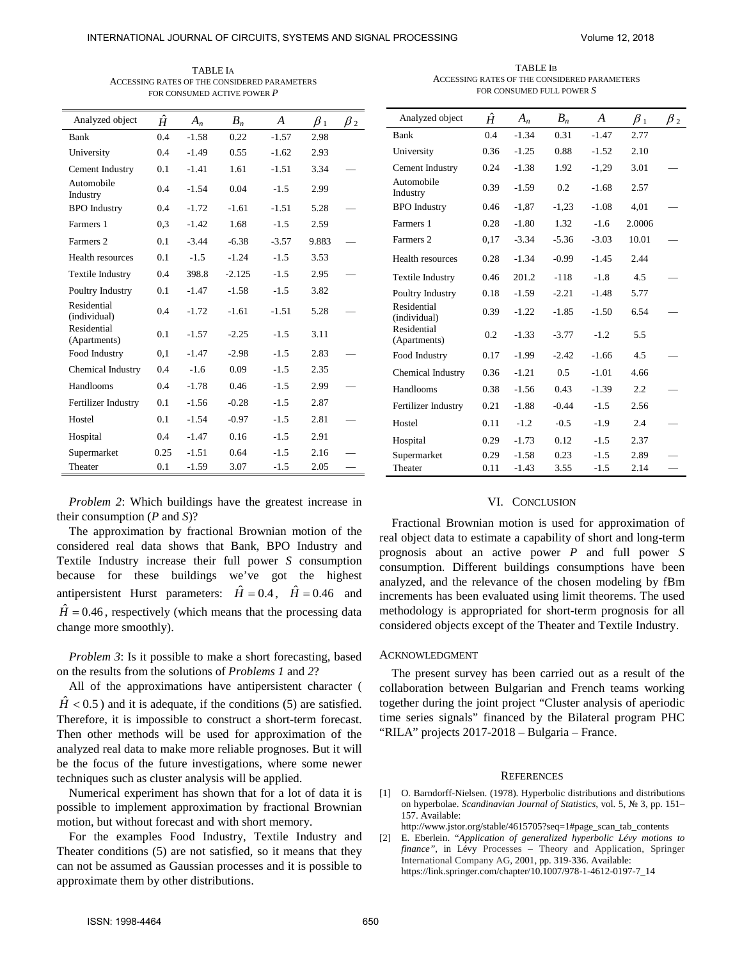TABLE IA ACCESSING RATES OF THE CONSIDERED PARAMETERS FOR CONSUMED ACTIVE POWER *P* 

j.

TABLE IB ACCESSING RATES OF THE CONSIDERED PARAMETERS FOR CONSUMED FULL POWER *S* 

|                                                                                                                                                                                                                                                                                                                                                                                                                                                                                                                                                                                                                                                                                                                                |           |         |          |                  |           |                                   | INTERNATIONAL JOURNAL OF CIRCUITS, SYSTEMS AND SIGNAL PROCESSING                                                                                                                                                                                                                                                                                                                                                                                                       |      |                   |         |         | Volume 12, 2018 |  |
|--------------------------------------------------------------------------------------------------------------------------------------------------------------------------------------------------------------------------------------------------------------------------------------------------------------------------------------------------------------------------------------------------------------------------------------------------------------------------------------------------------------------------------------------------------------------------------------------------------------------------------------------------------------------------------------------------------------------------------|-----------|---------|----------|------------------|-----------|-----------------------------------|------------------------------------------------------------------------------------------------------------------------------------------------------------------------------------------------------------------------------------------------------------------------------------------------------------------------------------------------------------------------------------------------------------------------------------------------------------------------|------|-------------------|---------|---------|-----------------|--|
| <b>TABLE IA</b><br>ACCESSING RATES OF THE CONSIDERED PARAMETERS<br>FOR CONSUMED ACTIVE POWER P                                                                                                                                                                                                                                                                                                                                                                                                                                                                                                                                                                                                                                 |           |         |          |                  |           |                                   | <b>TABLE IB</b><br>ACCESSING RATES OF THE CONSIDERED PARAMETERS<br>FOR CONSUMED FULL POWER S                                                                                                                                                                                                                                                                                                                                                                           |      |                   |         |         |                 |  |
| Analyzed object                                                                                                                                                                                                                                                                                                                                                                                                                                                                                                                                                                                                                                                                                                                | $\hat{H}$ | $A_n$   | $B_n$    | $\boldsymbol{A}$ | $\beta_1$ | $\beta_2$                         | Analyzed object                                                                                                                                                                                                                                                                                                                                                                                                                                                        | Ĥ    | $A_n$             | $B_n$   | A       | $\beta_1$       |  |
| Bank                                                                                                                                                                                                                                                                                                                                                                                                                                                                                                                                                                                                                                                                                                                           | 0.4       | $-1.58$ | 0.22     | $-1.57$          | 2.98      |                                   | Bank                                                                                                                                                                                                                                                                                                                                                                                                                                                                   | 0.4  | $-1.34$           | 0.31    | $-1.47$ | 2.77            |  |
| University                                                                                                                                                                                                                                                                                                                                                                                                                                                                                                                                                                                                                                                                                                                     | 0.4       | $-1.49$ | 0.55     | $-1.62$          | 2.93      |                                   | University                                                                                                                                                                                                                                                                                                                                                                                                                                                             | 0.36 | $-1.25$           | 0.88    | $-1.52$ | 2.10            |  |
| Cement Industry                                                                                                                                                                                                                                                                                                                                                                                                                                                                                                                                                                                                                                                                                                                | 0.1       | $-1.41$ | 1.61     | $-1.51$          | 3.34      | $\equiv$                          | Cement Industry                                                                                                                                                                                                                                                                                                                                                                                                                                                        | 0.24 | $-1.38$           | 1.92    | $-1,29$ | 3.01            |  |
| Automobile<br>Industry                                                                                                                                                                                                                                                                                                                                                                                                                                                                                                                                                                                                                                                                                                         | 0.4       | $-1.54$ | 0.04     | $-1.5$           | 2.99      |                                   | Automobile<br>Industry                                                                                                                                                                                                                                                                                                                                                                                                                                                 | 0.39 | $-1.59$           | 0.2     | $-1.68$ | 2.57            |  |
| <b>BPO</b> Industry                                                                                                                                                                                                                                                                                                                                                                                                                                                                                                                                                                                                                                                                                                            | 0.4       | $-1.72$ | $-1.61$  | $-1.51$          | 5.28      |                                   | <b>BPO</b> Industry                                                                                                                                                                                                                                                                                                                                                                                                                                                    | 0.46 | $-1,87$           | $-1,23$ | $-1.08$ | 4,01            |  |
| Farmers 1                                                                                                                                                                                                                                                                                                                                                                                                                                                                                                                                                                                                                                                                                                                      | 0,3       | $-1.42$ | 1.68     | $-1.5$           | 2.59      |                                   | Farmers 1                                                                                                                                                                                                                                                                                                                                                                                                                                                              | 0.28 | $-1.80$           | 1.32    | $-1.6$  | 2.0006          |  |
| Farmers 2                                                                                                                                                                                                                                                                                                                                                                                                                                                                                                                                                                                                                                                                                                                      | 0.1       | $-3.44$ | $-6.38$  | $-3.57$          | 9.883     |                                   | Farmers 2                                                                                                                                                                                                                                                                                                                                                                                                                                                              | 0,17 | $-3.34$           | $-5.36$ | $-3.03$ | 10.01           |  |
| Health resources                                                                                                                                                                                                                                                                                                                                                                                                                                                                                                                                                                                                                                                                                                               | 0.1       | $-1.5$  | $-1.24$  | $-1.5$           | 3.53      |                                   | Health resources                                                                                                                                                                                                                                                                                                                                                                                                                                                       | 0.28 | $-1.34$           | $-0.99$ | $-1.45$ | 2.44            |  |
| Textile Industry                                                                                                                                                                                                                                                                                                                                                                                                                                                                                                                                                                                                                                                                                                               | 0.4       | 398.8   | $-2.125$ | $-1.5$           | 2.95      | $\overbrace{\phantom{123221111}}$ | Textile Industry                                                                                                                                                                                                                                                                                                                                                                                                                                                       | 0.46 | 201.2             | $-118$  | $-1.8$  | 4.5             |  |
| Poultry Industry                                                                                                                                                                                                                                                                                                                                                                                                                                                                                                                                                                                                                                                                                                               | 0.1       | $-1.47$ | $-1.58$  | $-1.5$           | 3.82      |                                   | Poultry Industry                                                                                                                                                                                                                                                                                                                                                                                                                                                       | 0.18 | $-1.59$           | $-2.21$ | $-1.48$ | 5.77            |  |
| Residential<br>(individual)                                                                                                                                                                                                                                                                                                                                                                                                                                                                                                                                                                                                                                                                                                    | 0.4       | $-1.72$ | $-1.61$  | $-1.51$          | 5.28      |                                   | Residential<br>(individual)                                                                                                                                                                                                                                                                                                                                                                                                                                            | 0.39 | $-1.22$           | $-1.85$ | $-1.50$ | 6.54            |  |
| Residential<br>(Apartments)                                                                                                                                                                                                                                                                                                                                                                                                                                                                                                                                                                                                                                                                                                    | 0.1       | $-1.57$ | $-2.25$  | $-1.5$           | 3.11      |                                   | Residential<br>(Apartments)                                                                                                                                                                                                                                                                                                                                                                                                                                            | 0.2  | $-1.33$           | $-3.77$ | $-1.2$  | 5.5             |  |
| Food Industry                                                                                                                                                                                                                                                                                                                                                                                                                                                                                                                                                                                                                                                                                                                  | 0,1       | $-1.47$ | $-2.98$  | $-1.5$           | 2.83      | $\qquad \qquad -$                 | Food Industry                                                                                                                                                                                                                                                                                                                                                                                                                                                          | 0.17 | $-1.99$           | $-2.42$ | $-1.66$ | 4.5             |  |
| Chemical Industry                                                                                                                                                                                                                                                                                                                                                                                                                                                                                                                                                                                                                                                                                                              | 0.4       | $-1.6$  | 0.09     | $-1.5$           | 2.35      |                                   | Chemical Industry                                                                                                                                                                                                                                                                                                                                                                                                                                                      | 0.36 | $-1.21$           | 0.5     | $-1.01$ | 4.66            |  |
| Handlooms                                                                                                                                                                                                                                                                                                                                                                                                                                                                                                                                                                                                                                                                                                                      | 0.4       | $-1.78$ | 0.46     | $-1.5$           | 2.99      |                                   | Handlooms                                                                                                                                                                                                                                                                                                                                                                                                                                                              | 0.38 | $-1.56$           | 0.43    | $-1.39$ | 2.2             |  |
| Fertilizer Industry                                                                                                                                                                                                                                                                                                                                                                                                                                                                                                                                                                                                                                                                                                            | 0.1       | $-1.56$ | $-0.28$  | $-1.5$           | 2.87      |                                   | Fertilizer Industry                                                                                                                                                                                                                                                                                                                                                                                                                                                    | 0.21 | $-1.88$           | $-0.44$ | $-1.5$  | 2.56            |  |
| Hostel                                                                                                                                                                                                                                                                                                                                                                                                                                                                                                                                                                                                                                                                                                                         | 0.1       | $-1.54$ | $-0.97$  | $-1.5$           | 2.81      |                                   | Hostel                                                                                                                                                                                                                                                                                                                                                                                                                                                                 | 0.11 | $-1.2$            | $-0.5$  | $-1.9$  | 2.4             |  |
| Hospital                                                                                                                                                                                                                                                                                                                                                                                                                                                                                                                                                                                                                                                                                                                       | 0.4       | $-1.47$ | 0.16     | $-1.5$           | 2.91      |                                   | Hospital                                                                                                                                                                                                                                                                                                                                                                                                                                                               | 0.29 | $-1.73$           | 0.12    | $-1.5$  | 2.37            |  |
| Supermarket                                                                                                                                                                                                                                                                                                                                                                                                                                                                                                                                                                                                                                                                                                                    | 0.25      | $-1.51$ | 0.64     | $-1.5$           | 2.16      |                                   | Supermarket                                                                                                                                                                                                                                                                                                                                                                                                                                                            | 0.29 | $-1.58$           | 0.23    | $-1.5$  | 2.89            |  |
| Theater                                                                                                                                                                                                                                                                                                                                                                                                                                                                                                                                                                                                                                                                                                                        | 0.1       | $-1.59$ | 3.07     | $-1.5$           | 2.05      |                                   | Theater                                                                                                                                                                                                                                                                                                                                                                                                                                                                | 0.11 | $-1.43$           | 3.55    | $-1.5$  | 2.14            |  |
| The approximation by fractional Brownian motion of the<br>onsidered real data shows that Bank, BPO Industry and<br>extile Industry increase their full power S consumption<br>ecause for these buildings we've got the highest<br>ntipersistent Hurst parameters: $\hat{H} = 0.4$ , $\hat{H} = 0.46$ and<br>$\hat{I} = 0.46$ , respectively (which means that the processing data<br>nange more smoothly).                                                                                                                                                                                                                                                                                                                     |           |         |          |                  |           |                                   | Fractional Brownian motion is used for approximati<br>real object data to estimate a capability of short and long<br>prognosis about an active power $P$ and full pov<br>consumption. Different buildings consumptions have<br>analyzed, and the relevance of the chosen modeling by<br>increments has been evaluated using limit theorems. The<br>methodology is appropriated for short-term prognosis f<br>considered objects except of the Theater and Textile Indu |      |                   |         |         |                 |  |
| <i>Problem 3</i> : Is it possible to make a short forecasting, based<br>in the results from the solutions of <i>Problems 1</i> and 2?<br>All of the approximations have antipersistent character (<br>$\dot{H}$ < 0.5) and it is adequate, if the conditions (5) are satisfied.<br>herefore, it is impossible to construct a short-term forecast.<br>hen other methods will be used for approximation of the<br>nalyzed real data to make more reliable prognoses. But it will<br>e the focus of the future investigations, where some newer<br>chniques such as cluster analysis will be applied.<br>Numerical experiment has shown that for a lot of data it is<br>ossible to implement approximation by fractional Brownian |           |         |          |                  |           |                                   | <b>ACKNOWLEDGMENT</b><br>The present survey has been carried out as a result<br>collaboration between Bulgarian and French teams wo<br>together during the joint project "Cluster analysis of ape<br>time series signals" financed by the Bilateral program<br>"RILA" projects 2017-2018 - Bulgaria - France.<br>O. Barndorff-Nielsen. (1978). Hyperbolic distributions and distri<br> 1 <br>on hyperbolae. Scandinavian Journal of Statistics, vol. 5, № 3, p         |      | <b>REFERENCES</b> |         |         |                 |  |
| otion, but without forecast and with short memory.<br>For the examples Food Industry, Textile Industry and<br>heater conditions (5) are not satisfied, so it means that they<br>an not be assumed as Gaussian processes and it is possible to<br>oproximate them by other distributions.                                                                                                                                                                                                                                                                                                                                                                                                                                       |           |         |          |                  |           |                                   | 157. Available:<br>http://www.jstor.org/stable/4615705?seq=1#page_scan_tab_conte<br>[2] E. Eberlein. "Application of generalized hyperbolic Lévy mot<br><i>finance</i> ", in Lévy Processes – Theory and Application, S<br>International Company AG, 2001, pp. 319-336. Available:<br>https://link.springer.com/chapter/10.1007/978-1-4612-0197-7_14                                                                                                                   |      |                   |         |         |                 |  |
| ISSN: 1998-4464                                                                                                                                                                                                                                                                                                                                                                                                                                                                                                                                                                                                                                                                                                                |           |         |          |                  |           |                                   | 650                                                                                                                                                                                                                                                                                                                                                                                                                                                                    |      |                   |         |         |                 |  |

| Analyzed object             | Ĥ    | $A_n$   | $B_n$   | A       | $\beta_1$ | $\beta_{2}$ |
|-----------------------------|------|---------|---------|---------|-----------|-------------|
| Bank                        | 0.4  | $-1.34$ | 0.31    | $-1.47$ | 2.77      |             |
| University                  | 0.36 | $-1.25$ | 0.88    | $-1.52$ | 2.10      |             |
| Cement Industry             | 0.24 | $-1.38$ | 1.92    | $-1,29$ | 3.01      |             |
| Automobile<br>Industry      | 0.39 | $-1.59$ | 0.2     | $-1.68$ | 2.57      |             |
| <b>BPO</b> Industry         | 0.46 | $-1,87$ | $-1,23$ | $-1.08$ | 4,01      |             |
| Farmers 1                   | 0.28 | $-1.80$ | 1.32    | $-1.6$  | 2.0006    |             |
| Farmers 2                   | 0,17 | $-3.34$ | $-5.36$ | $-3.03$ | 10.01     |             |
| Health resources            | 0.28 | $-1.34$ | $-0.99$ | $-1.45$ | 2.44      |             |
| Textile Industry            | 0.46 | 201.2   | $-118$  | $-1.8$  | 4.5       |             |
| Poultry Industry            | 0.18 | $-1.59$ | $-2.21$ | $-1.48$ | 5.77      |             |
| Residential<br>(individual) | 0.39 | $-1.22$ | $-1.85$ | $-1.50$ | 6.54      |             |
| Residential<br>(Apartments) | 0.2  | $-1.33$ | $-3.77$ | $-1.2$  | 5.5       |             |
| Food Industry               | 0.17 | $-1.99$ | $-2.42$ | $-1.66$ | 4.5       |             |
| Chemical Industry           | 0.36 | $-1.21$ | 0.5     | $-1.01$ | 4.66      |             |
| Handlooms                   | 0.38 | $-1.56$ | 0.43    | $-1.39$ | 2.2       |             |
| Fertilizer Industry         | 0.21 | $-1.88$ | $-0.44$ | $-1.5$  | 2.56      |             |
| Hostel                      | 0.11 | $-1.2$  | $-0.5$  | $-1.9$  | 2.4       |             |
| Hospital                    | 0.29 | $-1.73$ | 0.12    | $-1.5$  | 2.37      |             |
| Supermarket                 | 0.29 | $-1.58$ | 0.23    | $-1.5$  | 2.89      |             |
| Theater                     | 0.11 | $-1.43$ | 3.55    | $-1.5$  | 2.14      |             |

#### VI. CONCLUSION

Fractional Brownian motion is used for approximation of real object data to estimate a capability of short and long-term prognosis about an active power *P* and full power *S* consumption. Different buildings consumptions have been analyzed, and the relevance of the chosen modeling by fBm increments has been evaluated using limit theorems. The used methodology is appropriated for short-term prognosis for all considered objects except of the Theater and Textile Industry.

#### ACKNOWLEDGMENT

The present survey has been carried out as a result of the collaboration between Bulgarian and French teams working together during the joint project "Cluster analysis of aperiodic time series signals" financed by the Bilateral program PHC "RILA" projects 2017-2018 – Bulgaria – France.

#### **REFERENCES**

[1] O. Barndorff-Nielsen. (1978). Hyperbolic distributions and distributions on hyperbolae. *Scandinavian Journal of Statistics*, vol. 5, № 3, pp. 151– 157. Available:

http://www.jstor.org/stable/4615705?seq=1#page\_scan\_tab\_contents

[2] E. Eberlein. "*Application of generalized hyperbolic Lévy motions to finance"*, in Lévy Processes – Theory and Application, Springer International Company AG, 2001, pp. 319-336. Available: https://link.springer.com/chapter/10.1007/978-1-4612-0197-7\_14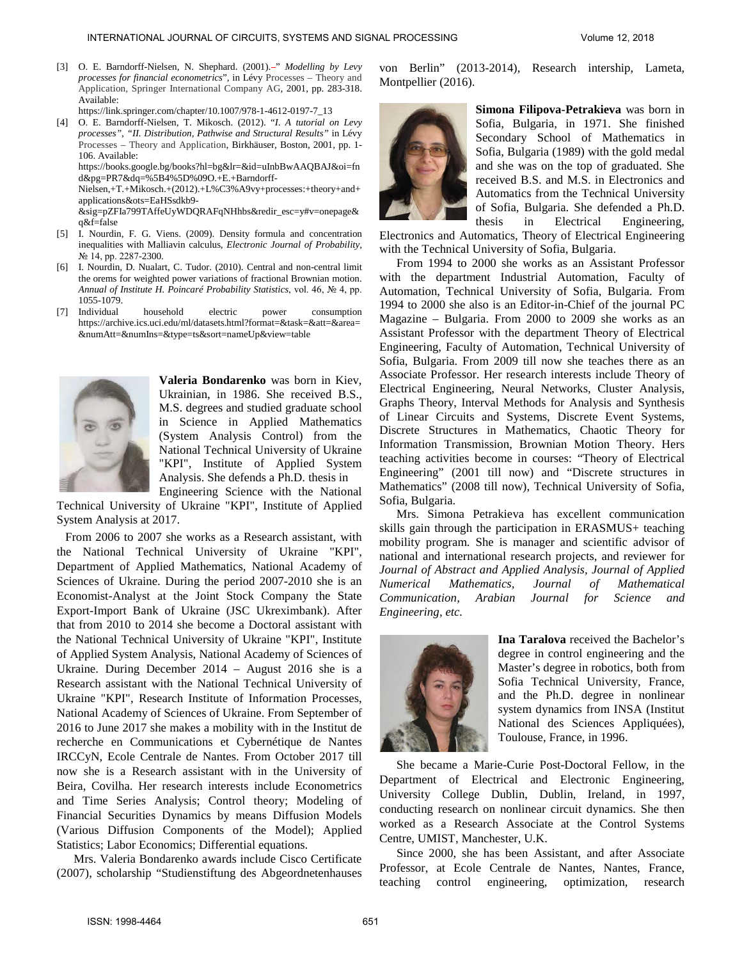- [3] O. E. Barndorff-Nielsen, N. Shephard. (2001).<sup>2</sup>" *Modelling by Levy processes for financial econometrics*", in Lévy Processes – Theory and Application, Springer International Company AG, 2001, pp. 283-318. Available: https://link.springer.com/chapter/10.1007/978-1-4612-0197-7\_13
- [4] O. E. Barndorff-Nielsen, T. Mikosch. (2012). "*I*. *A tutorial on Levy processes", "II. Distribution, Pathwise and Structural Results"* in Lévy Processes – Theory and Application, Birkhäuser, Boston, 2001, pp. 1- 106. Available: https://books.google.bg/books?hl=bg&lr=&id=uInbBwAAQBAJ&oi=fn d&pg=PR7&dq=%5B4%5D%09O.+E.+Barndorff-Nielsen,+T.+Mikosch.+(2012).+L%C3%A9vy+processes:+theory+and+

applications&ots=EaHSsdkb9- &sig=pZFIa799TAffeUyWDQRAFqNHhbs&redir\_esc=y#v=onepage& q&f=false

- [5] I. Nourdin, F. G. Viens. (2009). Density formula and concentration inequalities with Malliavin calculus, *Electronic Journal of Probability*, № 14, pp. 2287-2300.
- [6] I. Nourdin, D. Nualart, C. Tudor. (2010). Central and non-central limit the orems for weighted power variations of fractional Brownian motion. *Annual of Institute H. Poincaré Probability Statistics*, vol. 46, № 4, pp. 1055-1079.
- [7] Individual household electric power consumption https://archive.ics.uci.edu/ml/datasets.html?format=&task=&att=&area= &numAtt=&numIns=&type=ts&sort=nameUp&view=table



**Valeria Bondarenko** was born in Kiev, Ukrainian, in 1986. She received B.S., M.S. degrees and studied graduate school in Science in Applied Mathematics (System Analysis Control) from the National Technical University of Ukraine "KPI", Institute of Applied System Analysis. She defends a Ph.D. thesis in Engineering Science with the National

Technical University of Ukraine "KPI", Institute of Applied System Analysis at 2017.

From 2006 to 2007 she works as a Research assistant, with the National Technical University of Ukraine "KPI", Department of Applied Mathematics, National Academy of Sciences of Ukraine. During the period 2007-2010 she is an Economist-Analyst at the Joint Stock Company the State Export-Import Bank of Ukraine (JSC Ukreximbank). After that from 2010 to 2014 she become a Doctoral assistant with the National Technical University of Ukraine "KPI", Institute of Applied System Analysis, National Academy of Sciences of Ukraine. During December 2014 – August 2016 she is a Research assistant with the National Technical University of Ukraine "KPI", Research Institute of Information Processes, National Academy of Sciences of Ukraine. From September of 2016 to June 2017 she makes a mobility with in the Institut de recherche en Communications et Cybernétique de Nantes IRCCyN, Ecole Centrale de Nantes. From October 2017 till now she is a Research assistant with in the University of Beira, Covilha. Her research interests include Econometrics and Time Series Analysis; Control theory; Modeling of Financial Securities Dynamics by means Diffusion Models (Various Diffusion Components of the Model); Applied Statistics; Labor Economics; Differential equations. NTERNATIONAL AGOST CONSULTER CONTROL SYSTEM (AND STRUCTURE CONTROL SYSTEM (AND STRUCTURE CONTROL SYSTEM (AND STRUCTURE CONTROL SYSTEM (AND STRUCTURE CONTROL SYSTEM (AND STRUCTURE CONTROL SYSTEM (AND STRUCTURE CONTROL SYS

Mrs. Valeria Bondarenko awards include Cisco Certificate (2007), scholarship "Studienstiftung des Abgeordnetenhauses

von Berlin" (2013-2014), Research intership, Lameta, Montpellier (2016).



**Simona Filipova-Petrakieva** was born in Sofia, Bulgaria, in 1971. She finished Secondary School of Mathematics in Sofia, Bulgaria (1989) with the gold medal and she was on the top of graduated. She received B.S. and M.S. in Electronics and Automatics from the Technical University of Sofia, Bulgaria. She defended a Ph.D. thesis in Electrical Engineering,

Electronics and Automatics, Theory of Electrical Engineering with the Technical University of Sofia, Bulgaria.

From 1994 to 2000 she works as an Assistant Professor with the department Industrial Automation, Faculty of Automation, Technical University of Sofia, Bulgaria. From 1994 to 2000 she also is an Editor-in-Chief of the journal PC Magazine – Bulgaria. From 2000 to 2009 she works as an Assistant Professor with the department Theory of Electrical Engineering, Faculty of Automation, Technical University of Sofia, Bulgaria. From 2009 till now she teaches there as an Associate Professor. Her research interests include Theory of Electrical Engineering, Neural Networks, Cluster Analysis, Graphs Theory, Interval Methods for Analysis and Synthesis of Linear Circuits and Systems, Discrete Event Systems, Discrete Structures in Mathematics, Chaotic Theory for Information Transmission, Brownian Motion Theory. Hers teaching activities become in courses: "Theory of Electrical Engineering" (2001 till now) and "Discrete structures in Mathematics" (2008 till now), Technical University of Sofia, Sofia, Bulgaria.

Mrs. Simona Petrakieva has excellent communication skills gain through the participation in ERASMUS+ teaching mobility program. She is manager and scientific advisor of national and international research projects, and reviewer for *Journal of Abstract and Applied Analysis, Journal of Applied Numerical Mathematics, Journal of Mathematical Communication, Arabian Journal for Science and Engineering, etc.*



**Ina Taralova** received the Bachelor's degree in control engineering and the Master's degree in robotics, both from Sofia Technical University, France, and the Ph.D. degree in nonlinear system dynamics from INSA (Institut National des Sciences Appliquées), Toulouse, France, in 1996.

She became a Marie-Curie Post-Doctoral Fellow, in the Department of Electrical and Electronic Engineering, University College Dublin, Dublin, Ireland, in 1997, conducting research on nonlinear circuit dynamics. She then worked as a Research Associate at the Control Systems Centre, UMIST, Manchester, U.K.

Since 2000, she has been Assistant, and after Associate Professor, at Ecole Centrale de Nantes, Nantes, France, teaching control engineering, optimization, research